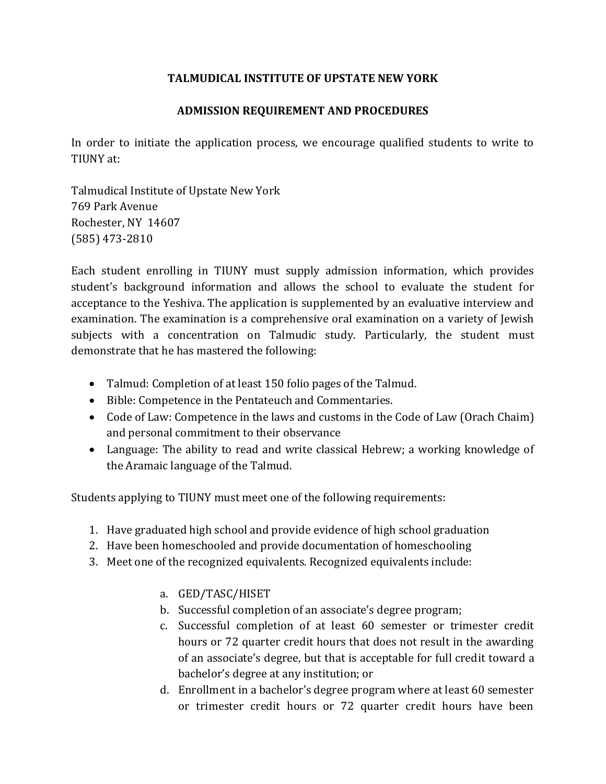## **TALMUDICAL INSTITUTE OF UPSTATE NEW YORK**

## **ADMISSION REQUIREMENT AND PROCEDURES**

In order to initiate the application process, we encourage qualified students to write to TIUNY at:

Talmudical Institute of Upstate New York 769 Park Avenue Rochester, NY 14607 (585) 473-2810

Each student enrolling in TIUNY must supply admission information, which provides student's background information and allows the school to evaluate the student for acceptance to the Yeshiva. The application is supplemented by an evaluative interview and examination. The examination is a comprehensive oral examination on a variety of Jewish subjects with a concentration on Talmudic study. Particularly, the student must demonstrate that he has mastered the following:

- Talmud: Completion of at least 150 folio pages of the Talmud.
- Bible: Competence in the Pentateuch and Commentaries.
- Code of Law: Competence in the laws and customs in the Code of Law (Orach Chaim) and personal commitment to their observance
- Language: The ability to read and write classical Hebrew; a working knowledge of the Aramaic language of the Talmud.

Students applying to TIUNY must meet one of the following requirements:

- 1. Have graduated high school and provide evidence of high school graduation
- 2. Have been homeschooled and provide documentation of homeschooling
- 3. Meet one of the recognized equivalents. Recognized equivalents include:
	- a. GED/TASC/HISET
	- b. Successful completion of an associate's degree program;
	- c. Successful completion of at least 60 semester or trimester credit hours or 72 quarter credit hours that does not result in the awarding of an associate's degree, but that is acceptable for full credit toward a bachelor's degree at any institution; or
	- d. Enrollment in a bachelor's degree program where at least 60 semester or trimester credit hours or 72 quarter credit hours have been